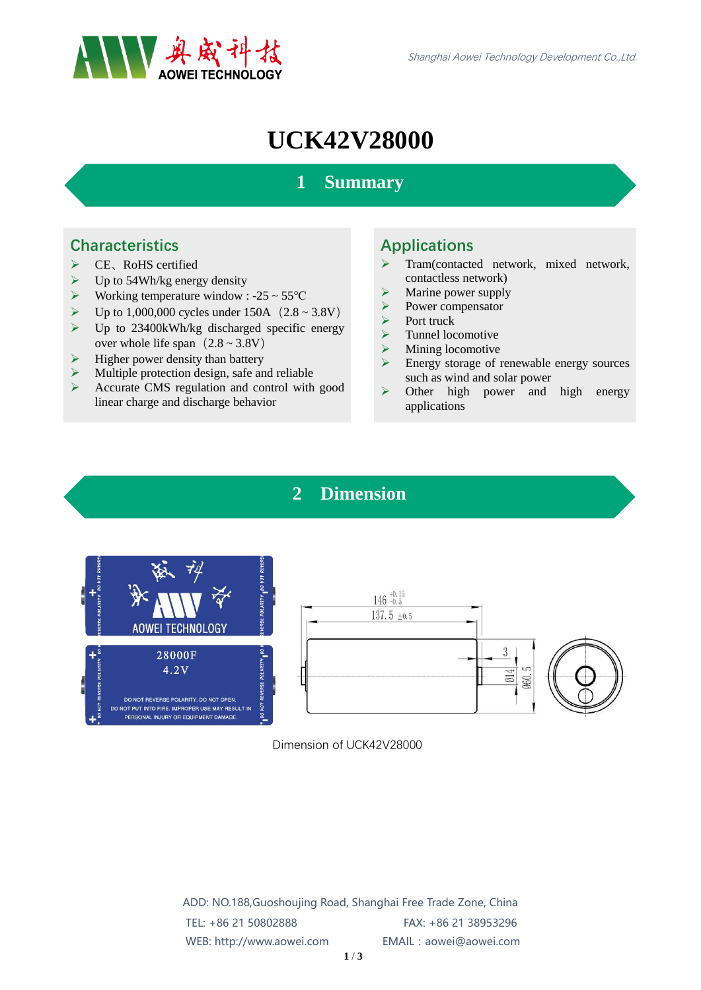

# **UCK42V28000**

## **1 Summary**

#### **Characteristics**

- ▶ CE、RoHS certified
- $\triangleright$  Up to 54Wh/kg energy density
- $\triangleright$  Working temperature window : -25 ~ 55 °C
- $\triangleright$  Up to 1,000,000 cycles under 150A (2.8 ~ 3.8V)
- $\triangleright$  Up to 23400kWh/kg discharged specific energy over whole life span $(2.8 \sim 3.8V)$
- $\triangleright$  Higher power density than battery
- $\triangleright$  Multiple protection design, safe and reliable<br> $\triangleright$  Accurate CMS regulation and control with
- Accurate CMS regulation and control with good linear charge and discharge behavior

### Applications

- Tram(contacted network, mixed network, contactless network)
- $\triangleright$  Marine power supply<br> $\triangleright$  Power compensator
- Power compensator
- $\triangleright$  Port truck
- $\triangleright$  Tunnel locomotive
- $\triangleright$  Mining locomotive
- Energy storage of renewable energy sources such as wind and solar power
- $\triangleright$  Other high power and high energy applications

## **2 Dimension**





Dimension of UCK42V28000

ADD: NO.188,Guoshoujing Road, Shanghai Free Trade Zone, China TEL: +86 21 50802888 FAX: +86 21 38953296 WEB: http://www.aowei.com EMAIL:aowei@aowei.com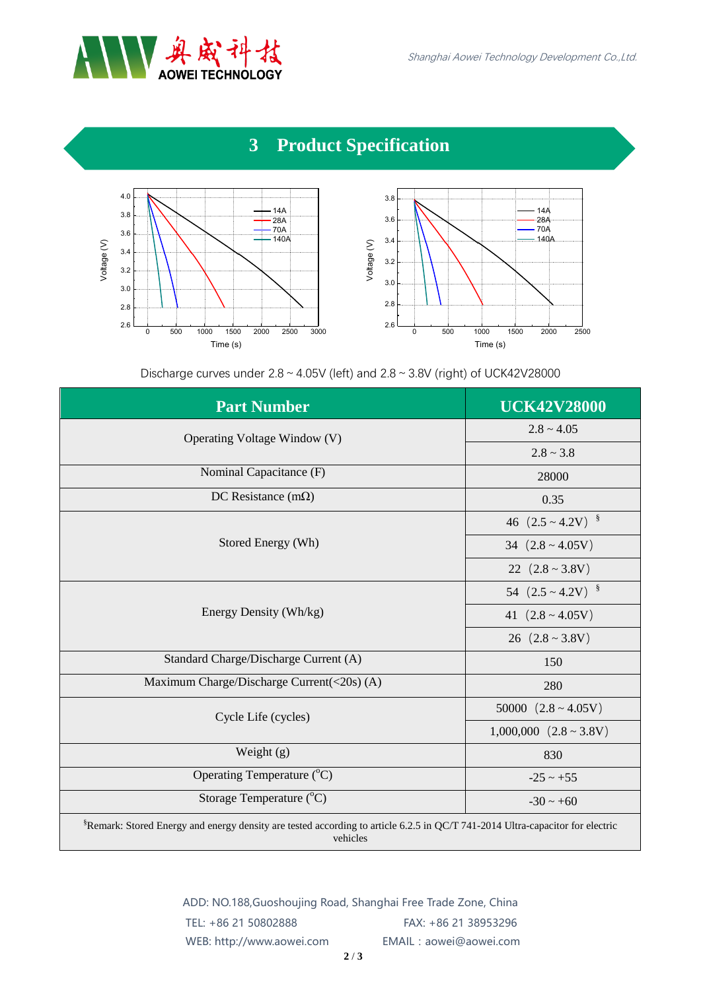

## **3 Product Specification**



Discharge curves under  $2.8 \sim 4.05$ V (left) and  $2.8 \sim 3.8$ V (right) of UCK42V28000

| <b>Part Number</b>                                                                                                                                    | <b>UCK42V28000</b>             |
|-------------------------------------------------------------------------------------------------------------------------------------------------------|--------------------------------|
| Operating Voltage Window (V)                                                                                                                          | $2.8 \sim 4.05$                |
|                                                                                                                                                       | $2.8 \sim 3.8$                 |
| Nominal Capacitance (F)                                                                                                                               | 28000                          |
| DC Resistance (m $\Omega$ )                                                                                                                           | 0.35                           |
| Stored Energy (Wh)                                                                                                                                    | 46 $(2.5 \sim 4.2 V)^{8}$      |
|                                                                                                                                                       | 34 $(2.8 \sim 4.05V)$          |
|                                                                                                                                                       | 22 $(2.8 \sim 3.8V)$           |
| Energy Density (Wh/kg)                                                                                                                                | 54 $(2.5 \sim 4.2 V)^{8}$      |
|                                                                                                                                                       | 41 $(2.8 \sim 4.05V)$          |
|                                                                                                                                                       | 26 $(2.8 \sim 3.8 V)$          |
| Standard Charge/Discharge Current (A)                                                                                                                 | 150                            |
| Maximum Charge/Discharge Current(<20s) (A)                                                                                                            | 280                            |
| Cycle Life (cycles)                                                                                                                                   | 50000 $(2.8 \sim 4.05V)$       |
|                                                                                                                                                       | $1,000,000$ $(2.8 \sim 3.8 V)$ |
| Weight $(g)$                                                                                                                                          | 830                            |
| Operating Temperature (°C)                                                                                                                            | $-25 \sim +55$                 |
| Storage Temperature $(^{\circ}C)$                                                                                                                     | $-30 \sim +60$                 |
| <sup>§</sup> Remark: Stored Energy and energy density are tested according to article 6.2.5 in QC/T 741-2014 Ultra-capacitor for electric<br>vehicles |                                |

ADD: NO.188,Guoshoujing Road, Shanghai Free Trade Zone, China TEL: +86 21 50802888 FAX: +86 21 38953296 WEB: http://www.aowei.com EMAIL:aowei@aowei.com